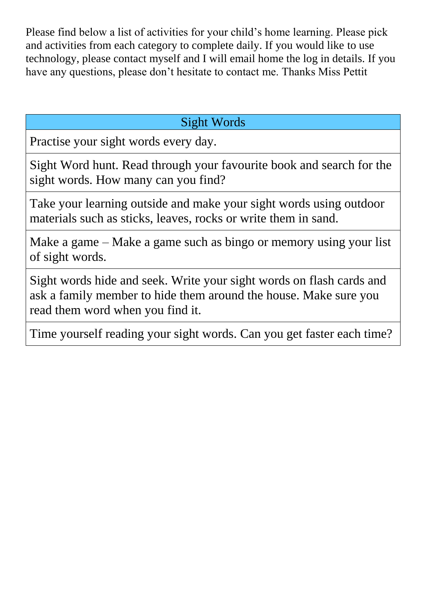Please find below a list of activities for your child's home learning. Please pick and activities from each category to complete daily. If you would like to use technology, please contact myself and I will email home the log in details. If you have any questions, please don't hesitate to contact me. Thanks Miss Pettit

## Sight Words

Practise your sight words every day.

Sight Word hunt. Read through your favourite book and search for the sight words. How many can you find?

Take your learning outside and make your sight words using outdoor materials such as sticks, leaves, rocks or write them in sand.

Make a game – Make a game such as bingo or memory using your list of sight words.

Sight words hide and seek. Write your sight words on flash cards and ask a family member to hide them around the house. Make sure you read them word when you find it.

Time yourself reading your sight words. Can you get faster each time?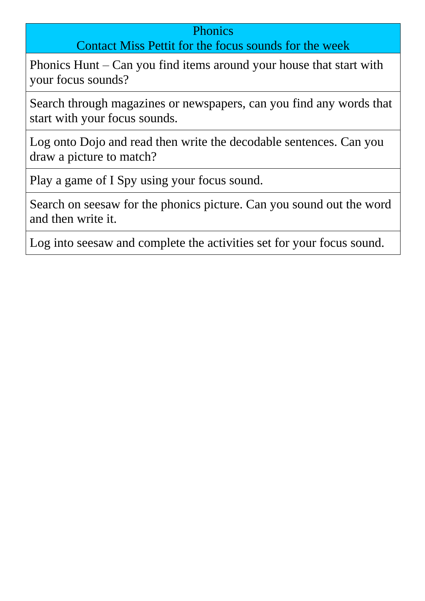## **Phonics**

## Contact Miss Pettit for the focus sounds for the week

Phonics Hunt – Can you find items around your house that start with your focus sounds?

Search through magazines or newspapers, can you find any words that start with your focus sounds.

Log onto Dojo and read then write the decodable sentences. Can you draw a picture to match?

Play a game of I Spy using your focus sound.

Search on seesaw for the phonics picture. Can you sound out the word and then write it.

Log into seesaw and complete the activities set for your focus sound.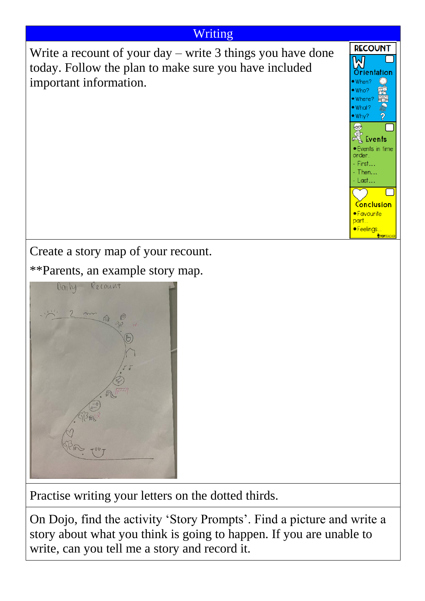## Writing

**RECOUNT** 

Orientation

Events • Events in time order First... Then...  $-Last...$ 

Conclusion ·Favourite part.. ·Feelings

M

When? Who? Where What? Why?

Write a recount of your day – write 3 things you have done today. Follow the plan to make sure you have included important information.



\*\*Parents, an example story map.



Practise writing your letters on the dotted thirds.

On Dojo, find the activity 'Story Prompts'. Find a picture and write a story about what you think is going to happen. If you are unable to write, can you tell me a story and record it.